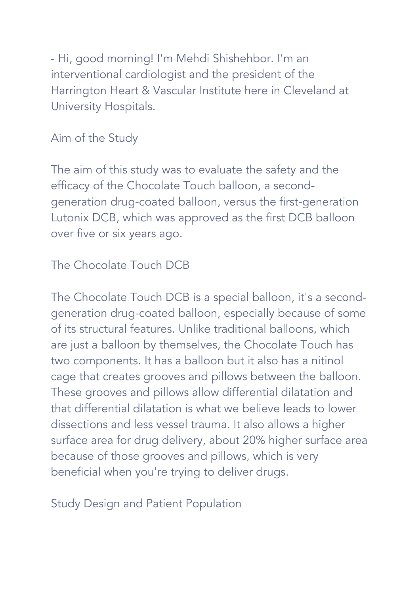- Hi, good morning! I'm Mehdi Shishehbor. I'm an interventional cardiologist and the president of the Harrington Heart & Vascular Institute here in Cleveland at University Hospitals.

## Aim of the Study

The aim of this study was to evaluate the safety and the efficacy of the Chocolate Touch balloon, a secondgeneration drug-coated balloon, versus the first-generation Lutonix DCB, which was approved as the first DCB balloon over five or six years ago.

# The Chocolate Touch DCB

The Chocolate Touch DCB is a special balloon, it's a secondgeneration drug-coated balloon, especially because of some of its structural features. Unlike traditional balloons, which are just a balloon by themselves, the Chocolate Touch has two components. It has a balloon but it also has a nitinol cage that creates grooves and pillows between the balloon. These grooves and pillows allow differential dilatation and that differential dilatation is what we believe leads to lower dissections and less vessel trauma. It also allows a higher surface area for drug delivery, about 20% higher surface area because of those grooves and pillows, which is very beneficial when you're trying to deliver drugs.

Study Design and Patient Population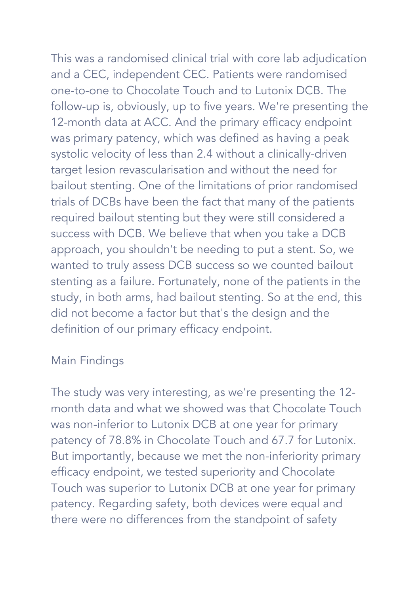This was a randomised clinical trial with core lab adjudication and a CEC, independent CEC. Patients were randomised one-to-one to Chocolate Touch and to Lutonix DCB. The follow-up is, obviously, up to five years. We're presenting the 12-month data at ACC. And the primary efficacy endpoint was primary patency, which was defined as having a peak systolic velocity of less than 2.4 without a clinically-driven target lesion revascularisation and without the need for bailout stenting. One of the limitations of prior randomised trials of DCBs have been the fact that many of the patients required bailout stenting but they were still considered a success with DCB. We believe that when you take a DCB approach, you shouldn't be needing to put a stent. So, we wanted to truly assess DCB success so we counted bailout stenting as a failure. Fortunately, none of the patients in the study, in both arms, had bailout stenting. So at the end, this did not become a factor but that's the design and the definition of our primary efficacy endpoint.

#### Main Findings

The study was very interesting, as we're presenting the 12 month data and what we showed was that Chocolate Touch was non-inferior to Lutonix DCB at one year for primary patency of 78.8% in Chocolate Touch and 67.7 for Lutonix. But importantly, because we met the non-inferiority primary efficacy endpoint, we tested superiority and Chocolate Touch was superior to Lutonix DCB at one year for primary patency. Regarding safety, both devices were equal and there were no differences from the standpoint of safety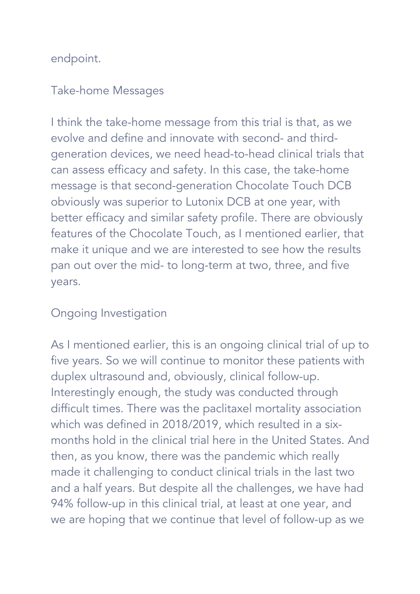endpoint.

### Take-home Messages

I think the take-home message from this trial is that, as we evolve and define and innovate with second- and thirdgeneration devices, we need head-to-head clinical trials that can assess efficacy and safety. In this case, the take-home message is that second-generation Chocolate Touch DCB obviously was superior to Lutonix DCB at one year, with better efficacy and similar safety profile. There are obviously features of the Chocolate Touch, as I mentioned earlier, that make it unique and we are interested to see how the results pan out over the mid- to long-term at two, three, and five years.

## Ongoing Investigation

As I mentioned earlier, this is an ongoing clinical trial of up to five years. So we will continue to monitor these patients with duplex ultrasound and, obviously, clinical follow-up. Interestingly enough, the study was conducted through difficult times. There was the paclitaxel mortality association which was defined in 2018/2019, which resulted in a sixmonths hold in the clinical trial here in the United States. And then, as you know, there was the pandemic which really made it challenging to conduct clinical trials in the last two and a half years. But despite all the challenges, we have had 94% follow-up in this clinical trial, at least at one year, and we are hoping that we continue that level of follow-up as we